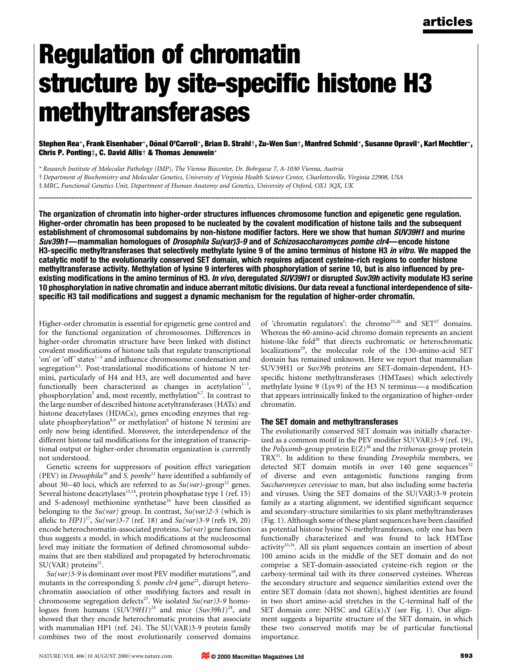# Regulation of chromatin structure by site-specific histone H3 methyltransferases

Stephen Rea\*, Frank Eisenhaber\*, Dónal O'Carroll\*, Brian D. Strahl†, Zu-Wen Sun†, Manfred Schmid\*, Susanne Opravil\*, Karl Mechtler\*, Chris P. Ponting $\ddagger$ , C. David Allis $\dagger$  & Thomas Jenuwein\*

............................................................................................................................................................................................................................................................................

\* Research Institute of Molecular Pathology (IMP), The Vienna Biocenter, Dr. Bohrgasse 7, A-1030 Vienna, Austria ² Department of Biochemistry and Molecular Genetics, University of Virginia Health Science Center, Charlottesville, Virginia 22908, USA

³ MRC, Functional Genetics Unit, Department of Human Anatomy and Genetics, University of Oxford, OX1 3QX, UK

The organization of chromatin into higher-order structures influences chromosome function and epigenetic gene regulation. Higher-order chromatin has been proposed to be nucleated by the covalent modification of histone tails and the subsequent establishment of chromosomal subdomains by non-histone modifier factors. Here we show that human SUV39H1 and murine Suv39h1—mammalian homologues of Drosophila Su(var)3-9 and of Schizosaccharomyces pombe clr4—encode histone H3-specific methyltransferases that selectively methylate lysine 9 of the amino terminus of histone H3 in vitro. We mapped the catalytic motif to the evolutionarily conserved SET domain, which requires adjacent cysteine-rich regions to confer histone methyltransferase activity. Methylation of lysine 9 interferes with phosphorylation of serine 10, but is also influenced by preexisting modifications in the amino terminus of H3. In vivo, deregulated SUV39H1 or disrupted Suv39h activity modulate H3 serine 10 phosphorylation in native chromatin and induce aberrant mitotic divisions. Our data reveal a functional interdependence of sitespecific H3 tail modifications and suggest a dynamic mechanism for the regulation of higher-order chromatin.

Higher-order chromatin is essential for epigenetic gene control and for the functional organization of chromosomes. Differences in higher-order chromatin structure have been linked with distinct covalent modifications of histone tails that regulate transcriptional 'on' or 'off' states<sup>1-3</sup> and influence chromosome condensation and segregation<sup>4,5</sup>. Post-translational modifications of histone N termini, particularly of H4 and H3, are well documented and have functionally been characterized as changes in acetylation $1-3$ , phosphorylation<sup>5</sup> and, most recently, methylation<sup>6,7</sup>. In contrast to the large number of described histone acetyltransferases (HATs) and histone deacetylases (HDACs), genes encoding enzymes that regulate phosphorylation<sup>8,9</sup> or methylation<sup>6</sup> of histone N termini are only now being identified. Moreover, the interdependence of the different histone tail modifications for the integration of transcriptional output or higher-order chromatin organization is currently not understood.

Genetic screens for suppressors of position effect variegation (PEV) in Drosophila<sup>10</sup> and S. pombe<sup>11</sup> have identified a subfamily of about 30-40 loci, which are referred to as  $Su(var)$ -group<sup>12</sup> genes. Several histone deacetylases $^{13,14}$ , protein phosphatase type 1 (ref. 15) and S-adenosyl methionine synthetase<sup>16</sup> have been classified as belonging to the  $Su(var)$  group. In contrast,  $Su(var)2-5$  (which is allelic to  $HP1$ <sup>17</sup>, Su(var)3-7 (ref. 18) and Su(var)3-9 (refs 19, 20) encode heterochromatin-associated proteins. Su(var) gene function thus suggests a model, in which modifications at the nucleosomal level may initiate the formation of defined chromosomal subdomains that are then stabilized and propagated by heterochromatic SU(VAR) proteins<sup>21</sup>.

 $Su(var)$ 3-9 is dominant over most PEV modifier mutations<sup>19</sup>, and mutants in the corresponding S. pombe  $chr4$  gene<sup>22</sup>, disrupt heterochromatin association of other modifying factors and result in chromosome segregation defects<sup>23</sup>. We isolated  $Su(var)$ 3-9 homologues from humans  $(SUV39H1)^{24}$  and mice  $(Suv39h1)^{24}$ , and showed that they encode heterochromatic proteins that associate with mammalian HP1 (ref. 24). The SU(VAR)3-9 protein family combines two of the most evolutionarily conserved domains of 'chromatin regulators': the chromo<sup>25,26</sup> and SET<sup>27</sup> domains. Whereas the 60-amino-acid chromo domain represents an ancient histone-like fold<sup>28</sup> that directs euchromatic or heterochromatic localizations<sup>29</sup>, the molecular role of the 130-amino-acid SET domain has remained unknown. Here we report that mammalian SUV39H1 or Suv39h proteins are SET-domain-dependent, H3 specific histone methyltransferases (HMTases) which selectively methylate lysine 9 (Lys 9) of the H3 N terminus—a modification that appears intrinsically linked to the organization of higher-order chromatin.

### The SET domain and methyltransferases

The evolutionarily conserved SET domain was initially characterized as a common motif in the PEV modifier SU(VAR)3-9 (ref. 19), the Polycomb-group protein  $E(Z)^{30}$  and the trithorax-group protein TRX<sup>31</sup>. In addition to these founding *Drosophila* members, we detected SET domain motifs in over  $140$  gene sequences<sup>32</sup> of diverse and even antagonistic functions ranging from Saccharomyces cerevisiae to man, but also including some bacteria and viruses. Using the SET domains of the SU(VAR)3-9 protein family as a starting alignment, we identified significant sequence and secondary-structure similarities to six plant methyltransferases (Fig. 1). Although some of these plant sequences have been classified as potential histone lysine N-methyltransferases, only one has been functionally characterized and was found to lack HMTase activity<sup>33,34</sup>. All six plant sequences contain an insertion of about 100 amino acids in the middle of the SET domain and do not comprise a SET-domain-associated cysteine-rich region or the carboxy-terminal tail with its three conserved cysteines. Whereas the secondary structure and sequence similarities extend over the entire SET domain (data not shown), highest identities are found in two short amino-acid stretches in the C-terminal half of the SET domain core: NHSC and  $GE(x)_{5}Y$  (see Fig. 1). Our alignment suggests a bipartite structure of the SET domain, in which these two conserved motifs may be of particular functional importance.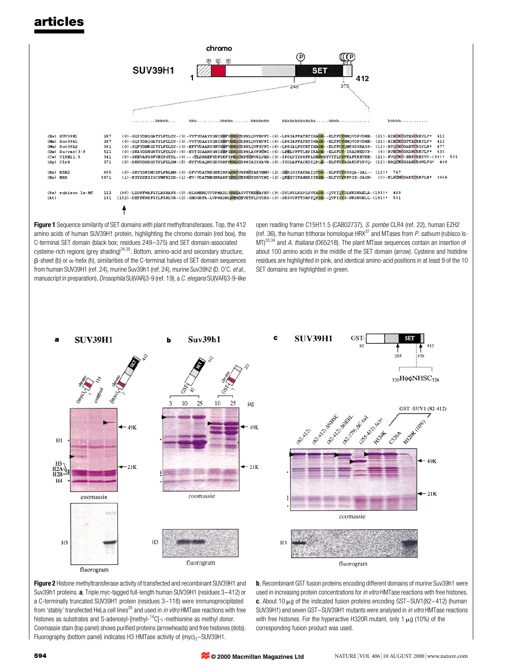

Figure 1 Sequence similarity of SET domains with plant methyltransferases. Top, the 412 amino acids of human SUV39H1 protein, highlighting the chromo domain (red box), the C-terminal SET domain (black box; residues 249-375) and SET domain-associated cysteine-rich regions (grey shading) $24,35$ . Bottom, amino-acid and secondary structure,  $\beta$ -sheet (b) or  $\alpha$ -helix (h), similarities of the C-terminal halves of SET domain sequences from human SUV39H1 (ref. 24), murine Suv39h1 (ref. 24), murine Suv39h2 (D. O'C. et al., manuscript in preparation), Drosophila SU(VAR)3-9 (ref. 19), a C. elegans SU(VAR)3-9-like

open reading frame C15H11.5 (CAB02737), S. pombe CLR4 (ref. 22), human EZH2 (ref. 36), the human trithorax homologue  $HRX^{37}$  and MTases from P. sativum (rubisco Is- $MD<sup>33,34</sup>$  and A. *thaliana* (065218). The plant MTase sequences contain an insertion of about 100 amino acids in the middle of the SET domain (arrow). Cysteine and histidine residues are highlighted in pink, and identical amino-acid positions in at least 9 of the 10 SET domains are highlighted in green.

GST-





Figure 2 Histone methyltransferase activity of transfected and recombinant SUV39H1 and Suv39h1 proteins. a, Triple myc-tagged full-length human SUV39H1 (residues 3-412) or a C-terminally truncated SUV39H1 protein (residues 3-118) were immunoprecipitated from 'stably' transfected HeLa cell lines<sup>35</sup> and used in *in vitro* HMTase reactions with free histones as substrates and S-adenosyl-[methyl- $^{14}$ C]-L-methionine as methyl donor. Coomassie stain (top panel) shows purified proteins (arrowheads) and free histones (dots). Fluorography (bottom panel) indicates H3 HMTase activity of  $(myc)<sub>3</sub>-SUV39H1$ .

b, Recombinant GST fusion proteins encoding different domains of murine Suv39h1 were used in increasing protein concentrations for in vitro HMTase reactions with free histones. c, About 10  $\mu$ g of the indicated fusion proteins encoding GST-SUV1(82-412) (human SUV39H1) and seven GST-SUV39H1 mutants were analysed in in vitro HMTase reactions with free histones. For the hyperactive H320R mutant, only 1  $\mu$ g (10%) of the corresponding fusion product was used.

**© 2000 Macmillan Magazines Ltd**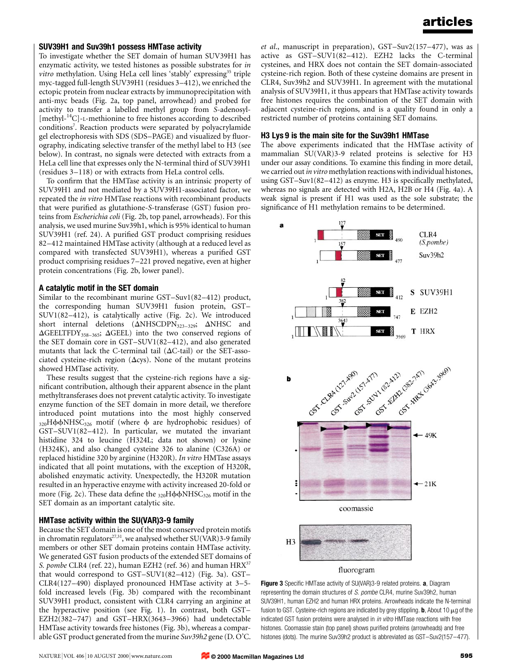### SUV39H1 and Suv39h1 possess HMTase activity

To investigate whether the SET domain of human SUV39H1 has enzymatic activity, we tested histones as possible substrates for in *vitro* methylation. Using HeLa cell lines 'stably' expressing<sup>35</sup> triple myc-tagged full-length SUV39H1 (residues  $3-412$ ), we enriched the ectopic protein from nuclear extracts by immunoprecipitation with anti-myc beads (Fig. 2a, top panel, arrowhead) and probed for activity to transfer a labelled methyl group from S-adenosyl- [methyl-<sup>14</sup>C]-L-methionine to free histones according to described conditions<sup>7</sup>. Reaction products were separated by polyacrylamide gel electrophoresis with SDS (SDS-PAGE) and visualized by fluorography, indicating selective transfer of the methyl label to H3 (see below). In contrast, no signals were detected with extracts from a HeLa cell line that expresses only the N-terminal third of SUV39H1 (residues 3–118) or with extracts from HeLa control cells.

To confirm that the HMTase activity is an intrinsic property of SUV39H1 and not mediated by a SUV39H1-associated factor, we repeated the in vitro HMTase reactions with recombinant products that were purified as glutathione-S-transferase (GST) fusion proteins from Escherichia coli (Fig. 2b, top panel, arrowheads). For this analysis, we used murine Suv39h1, which is 95% identical to human SUV39H1 (ref. 24). A purified GST product comprising residues 82-412 maintained HMTase activity (although at a reduced level as compared with transfected SUV39H1), whereas a purified GST product comprising residues 7-221 proved negative, even at higher protein concentrations (Fig. 2b, lower panel).

### A catalytic motif in the SET domain

Similar to the recombinant murine  $GST-Suv1(82–412)$  product, the corresponding human SUV39H1 fusion protein, GST- $SUV1(82-412)$ , is catalytically active (Fig. 2c). We introduced short internal deletions ( $\Delta$ NHSCDPN<sub>323-329</sub>;  $\Delta$ NHSC and  $\Delta$ GEELTFDY<sub>358-365</sub>;  $\Delta$ GEEL) into the two conserved regions of the SET domain core in  $GST-SUV1(82–412)$ , and also generated mutants that lack the C-terminal tail  $(\Delta C$ -tail) or the SET-associated cysteine-rich region ( $\Delta$ cys). None of the mutant proteins showed HMTase activity.

These results suggest that the cysteine-rich regions have a significant contribution, although their apparent absence in the plant methyltransferases does not prevent catalytic activity. To investigate enzyme function of the SET domain in more detail, we therefore introduced point mutations into the most highly conserved  $320H\phi\phi$ NHSC $326$  motif (where  $\phi$  are hydrophobic residues) of  $GST-SUV1(82–412)$ . In particular, we mutated the invariant histidine 324 to leucine (H324L; data not shown) or lysine (H324K), and also changed cysteine 326 to alanine (C326A) or replaced histidine 320 by arginine (H320R). In vitro HMTase assays indicated that all point mutations, with the exception of H320R, abolished enzymatic activity. Unexpectedly, the H320R mutation resulted in an hyperactive enzyme with activity increased 20-fold or more (Fig. 2c). These data define the  $_{320}H\phi\phi\nNHSC_{326}$  motif in the SET domain as an important catalytic site.

## HMTase activity within the SU(VAR)3-9 family

Because the SET domain is one of the most conserved protein motifs in chromatin regulators<sup>27,31</sup>, we analysed whether SU(VAR)3-9 family members or other SET domain proteins contain HMTase activity. We generated GST fusion products of the extended SET domains of S. pombe CLR4 (ref. 22), human EZH2 (ref. 36) and human HRX<sup>37</sup> that would correspond to GST-SUV1(82-412) (Fig. 3a). GST-CLR4(127 $-490$ ) displayed pronounced HMTase activity at 3-5fold increased levels (Fig. 3b) compared with the recombinant SUV39H1 product, consistent with CLR4 carrying an arginine at the hyperactive position (see Fig. 1). In contrast, both GST-EZH2(382-747) and GST-HRX(3643-3966) had undetectable HMTase activity towards free histones (Fig. 3b), whereas a comparable GST product generated from the murine Suv39h2 gene (D. O'C.

et al., manuscript in preparation),  $GST-Suv2(157-477)$ , was as active as  $GST-SUV1(82-412)$ . EZH2 lacks the C-terminal cysteines, and HRX does not contain the SET domain-associated cysteine-rich region. Both of these cysteine domains are present in CLR4, Suv39h2 and SUV39H1. In agreement with the mutational analysis of SUV39H1, it thus appears that HMTase activity towards free histones requires the combination of the SET domain with adjacent cysteine-rich regions, and is a quality found in only a restricted number of proteins containing SET domains.

### H3 Lys 9 is the main site for the Suv39h1 HMTase

The above experiments indicated that the HMTase activity of mammalian SU(VAR)3-9 related proteins is selective for H3 under our assay conditions. To examine this finding in more detail, we carried out in vitro methylation reactions with individual histones, using  $GST-Suv1(82–412)$  as enzyme. H3 is specifically methylated, whereas no signals are detected with H2A, H2B or H4 (Fig. 4a). A weak signal is present if H1 was used as the sole substrate; the significance of H1 methylation remains to be determined.



Figure 3 Specific HMTase activity of SU(VAR)3-9 related proteins. a, Diagram representing the domain structures of S. pombe CLR4, murine Suv39h2, human SUV39H1, human EZH2 and human HRX proteins. Arrowheads indicate the N-terminal fusion to GST. Cysteine-rich regions are indicated by grey stippling. **b**, About 10  $\mu$ g of the indicated GST fusion proteins were analysed in *in vitro* HMTase reactions with free histones. Coomassie stain (top panel) shows purified proteins (arrowheads) and free histones (dots). The murine Suv39h2 product is abbreviated as GST-Suv2(157-477).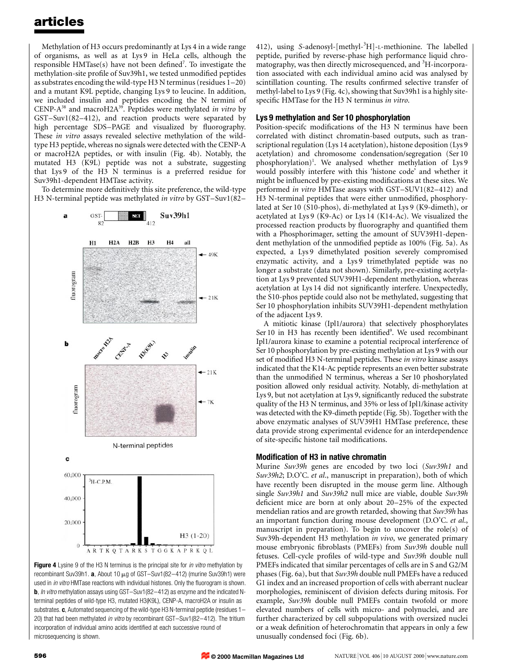Methylation of H3 occurs predominantly at Lys 4 in a wide range of organisms, as well as at Lys 9 in HeLa cells, although the responsible HMTase(s) have not been defined<sup>7</sup>. To investigate the methylation-site profile of Suv39h1, we tested unmodified peptides as substrates encoding the wild-type H3 N terminus (residues  $1-20$ ) and a mutant K9L peptide, changing Lys 9 to leucine. In addition, we included insulin and peptides encoding the N termini of CENP- $A^{38}$  and macroH2 $A^{39}$ . Peptides were methylated *in vitro* by  $GST-Suv1(82-412)$ , and reaction products were separated by high percentage SDS-PAGE and visualized by fluorography. These in vitro assays revealed selective methylation of the wildtype H3 peptide, whereas no signals were detected with the CENP-A or macroH2A peptides, or with insulin (Fig. 4b). Notably, the mutated H3 (K9L) peptide was not a substrate, suggesting that Lys 9 of the H3 N terminus is a preferred residue for Suv39h1-dependent HMTase activity.

To determine more definitively this site preference, the wild-type H3 N-terminal peptide was methylated in vitro by GST-Suv1(82–



Figure 4 Lysine 9 of the H3 N terminus is the principal site for in vitro methylation by recombinant Suv39h1.  $a$ , About 10  $\mu$ g of GST-Suv1(82-412) (murine Suv39h1) were used in in vitro HMTase reactions with individual histones. Only the fluorogram is shown. **b**, In vitro methylation assays using GST-Suv1(82-412) as enzyme and the indicated Nterminal peptides of wild-type H3, mutated H3(K9L), CENP-A, macroH2A or insulin as substrates.  $c$ , Automated sequencing of the wild-type H3 N-terminal peptide (residues  $1-$ 20) that had been methylated in vitro by recombinant GST-Suv1(82-412). The tritium incorporation of individual amino acids identified at each successive round of microsequencing is shown.

412), using S-adenosyl-[methyl-3H]-L-methionine. The labelled peptide, purified by reverse-phase high performance liquid chromatography, was then directly microsequenced, and <sup>3</sup>H-incorporation associated with each individual amino acid was analysed by scintillation counting. The results confirmed selective transfer of methyl-label to Lys 9 (Fig. 4c), showing that Suv39h1 is a highly sitespecific HMTase for the H3 N terminus in vitro.

### Lys 9 methylation and Ser 10 phosphorylation

Position-specifc modifications of the H3 N terminus have been correlated with distinct chromatin-based outputs, such as transcriptional regulation (Lys 14 acetylation), histone deposition (Lys 9 acetylation) and chromosome condensation/segregation (Ser 10 phosphorylation)<sup>1</sup>. We analysed whether methylation of Lys 9 would possibly interfere with this `histone code' and whether it might be influenced by pre-existing modifications at these sites. We performed in vitro HMTase assays with  $GST-SUV1(82-412)$  and H3 N-terminal peptides that were either unmodified, phosphorylated at Ser 10 (S10-phos), di-methylated at Lys 9 (K9-dimeth), or acetylated at Lys 9 (K9-Ac) or Lys 14 (K14-Ac). We visualized the processed reaction products by fluorography and quantified them with a Phosphorimager, setting the amount of SUV39H1-dependent methylation of the unmodified peptide as 100% (Fig. 5a). As expected, a Lys 9 dimethylated position severely compromised enzymatic activity, and a Lys 9 trimethylated peptide was no longer a substrate (data not shown). Similarly, pre-existing acetylation at Lys 9 prevented SUV39H1-dependent methylation, whereas acetylation at Lys 14 did not significantly interfere. Unexpectedly, the S10-phos peptide could also not be methylated, suggesting that Ser 10 phosphorylation inhibits SUV39H1-dependent methylation of the adjacent Lys 9.

A mitiotic kinase (Ipl1/aurora) that selectively phosphorylates Ser 10 in H3 has recently been identified<sup>9</sup>. We used recombinant Ipl1/aurora kinase to examine a potential reciprocal interference of Ser 10 phosphorylation by pre-existing methylation at Lys 9 with our set of modified H3 N-terminal peptides. These in vitro kinase assays indicated that the K14-Ac peptide represents an even better substrate than the unmodified N terminus, whereas a Ser 10 phoshorylated position allowed only residual activity. Notably, di-methylation at Lys 9, but not acetylation at Lys 9, significantly reduced the substrate quality of the H3 N terminus, and 35% or less of Ipl1/kinase activity was detected with the K9-dimeth peptide (Fig. 5b). Together with the above enzymatic analyses of SUV39H1 HMTase preference, these data provide strong experimental evidence for an interdependence of site-specific histone tail modifications.

### Modification of H3 in native chromatin

Murine Suv39h genes are encoded by two loci (Suv39h1 and Suv39h2; D.O'C. et al., manuscript in preparation), both of which have recently been disrupted in the mouse germ line. Although single Suv39h1 and Suv39h2 null mice are viable, double Suv39h deficient mice are born at only about 20-25% of the expected mendelian ratios and are growth retarded, showing that Suv39h has an important function during mouse development (D.O'C. et al., manuscript in preparation). To begin to uncover the role(s) of Suv39h-dependent H3 methylation *in vivo*, we generated primary mouse embryonic fibroblasts (PMEFs) from Suv39h double null fetuses. Cell-cycle profiles of wild-type and Suv39h double null PMEFs indicated that similar percentages of cells are in S and G2/M phases (Fig. 6a), but that Suv39h double null PMEFs have a reduced G1 index and an increased proportion of cells with aberrant nuclear morphologies, reminiscent of division defects during mitosis. For example, Suv39h double null PMEFs contain twofold or more elevated numbers of cells with micro- and polynuclei, and are further characterized by cell subpopulations with oversized nuclei or a weak definition of heterochromatin that appears in only a few unusually condensed foci (Fig. 6b).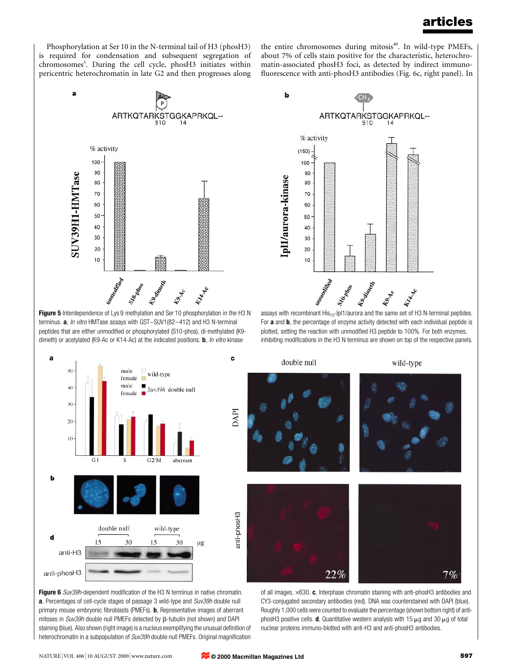Phosphorylation at Ser 10 in the N-terminal tail of H3 (phosH3) is required for condensation and subsequent segregation of chromosomes<sup>5</sup>. During the cell cycle, phosH3 initiates within pericentric heterochromatin in late G2 and then progresses along

 $\overline{a}$ 

a

the entire chromosomes during mitosis<sup>40</sup>. In wild-type PMEFs, about 7% of cells stain positive for the characteristic, heterochromatin-associated phosH3 foci, as detected by indirect immuno fluorescence with anti-phosH3 antibodies (Fig. 6c, right panel). In



Figure 5 Interdependence of Lys 9 methylation and Ser 10 phosphorylation in the H3 N terminus.  $a$ , In vitro HMTase assays with GST-SUV1(82-412) and H3 N-terminal peptides that are either unmodified or phosphorylated (S10-phos), di-methylated (K9dimeth) or acetylated (K9-Ac or K14-Ac) at the indicated positions. **b**, In vitro kinase



assays with recombinant  $His_{10}$ -Ipl1/aurora and the same set of H3 N-terminal peptides. For **a** and **b**, the percentage of enzyme activity detected with each individual peptide is plotted, setting the reaction with unmodified H3 peptide to 100%. For both enzymes, inhibiting modifications in the H3 N terminus are shown on top of the respective panels.

wild-type



c

Figure 6 Suv39h-dependent modification of the H3 N terminus in native chromatin. a, Percentages of cell-cycle stages of passage 3 wild-type and Suv39h double null primary mouse embryonic fibroblasts (PMEFs). **b**, Representative images of aberrant mitoses in Suv39h double null PMEFs detected by  $\beta$ -tubulin (not shown) and DAPI staining (blue). Also shown (right image) is a nucleus exemplifying the unusual definition of heterochromatin in a subpopulation of Suv39h double null PMEFs. Original magnification of all images,  $\times$ 630. c, Interphase chromatin staining with anti-phosH3 antibodies and CY3-conjugated secondary antibodies (red). DNA was counterstained with DAPI (blue). Roughly 1,000 cells were counted to evaluate the percentage (shown bottom right) of antiphosH3 positive cells. **d**, Quantitative western analysis with 15  $\mu$ g and 30  $\mu$ g of total nuclear proteins immuno-blotted with anti-H3 and anti-phosH3 antibodies.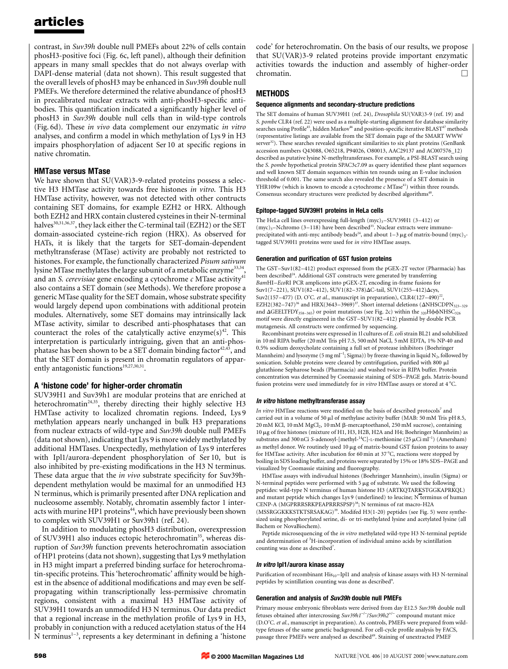contrast, in Suv39h double null PMEFs about 22% of cells contain phosH3-positive foci (Fig. 6c, left panel), although their definition appears in many small speckles that do not always overlap with DAPI-dense material (data not shown). This result suggested that the overall levels of phosH3 may be enhanced in Suv39h double null PMEFs. We therefore determined the relative abundance of phosH3 in precalibrated nuclear extracts with anti-phosH3-specific antibodies. This quantification indicated a significantly higher level of phosH3 in Suv39h double null cells than in wild-type controls (Fig. 6d). These in vivo data complement our enzymatic in vitro analyses, and confirm a model in which methylation of Lys 9 in H3 impairs phosphorylation of adjacent Ser 10 at specific regions in native chromatin.

### HMTase versus MTase

We have shown that SU(VAR)3-9-related proteins possess a selective H3 HMTase activity towards free histones in vitro. This H3 HMTase activity, however, was not detected with other contructs containing SET domains, for example EZH2 or HRX. Although both EZH2 and HRX contain clustered cysteines in their N-terminal halves<sup>30,31,36,37</sup>, they lack either the C-terminal tail (EZH2) or the SET domain-associated cysteine-rich region (HRX). As observed for HATs, it is likely that the targets for SET-domain-dependent methyltransferase (MTase) activity are probably not restricted to histones. For example, the functionally characterized Pisum sativum lysine MTase methylates the large subunit of a metabolic enzyme<sup>33,34</sup>, and an S. cerevisiae gene encoding a cytochrome  $c$  MTase activity $41$ also contains a SET domain (see Methods). We therefore propose a generic MTase quality for the SET domain, whose substrate specifity would largely depend upon combinations with additional protein modules. Alternatively, some SET domains may intrinsically lack MTase activity, similar to described anti-phosphatases that can counteract the roles of the catalytically active enzyme(s)<sup>42</sup>. This interpretation is particularly intriguing, given that an anti-phosphatase has been shown to be a SET domain binding factor<sup>42,43</sup>, and that the SET domain is present in chromatin regulators of apparently antagonistic functions<sup>19,27,30,31</sup>.

### A `histone code' for higher-order chromatin

SUV39H1 and Suv39h1 are modular proteins that are enriched at heterochromatin<sup>24,35</sup>, thereby directing their highly selective H3 HMTase activity to localized chromatin regions. Indeed, Lys 9 methylation appears nearly unchanged in bulk H3 preparations from nuclear extracts of wild-type and Suv39h double null PMEFs (data not shown), indicating that Lys 9 is more widely methylated by additional HMTases. Unexpectedly, methylation of Lys 9 interferes with Ipl1/aurora-dependent phosphorylation of Ser 10, but is also inhibited by pre-existing modifications in the H3 N terminus. These data argue that the in vivo substrate specificity for Suv39hdependent methylation would be maximal for an unmodified H3 N terminus, which is primarily presented after DNA replication and nucleosome assembly. Notably, chromatin assembly factor 1 interacts with murine HP1 proteins<sup>44</sup>, which have previously been shown to complex with SUV39H1 or Suv39h1 (ref. 24).

In addition to modulating phosH3 distribution, overexpression of SUV39H1 also induces ectopic heterochromatin<sup>35</sup>, whereas disruption of Suv39h function prevents heterochromatin association of HP1 proteins (data not shown), suggesting that Lys 9 methylation in H3 might impart a preferred binding surface for heterochromatin-specific proteins. This 'heterochromatic' affinity would be highest in the absence of additional modifications and may even be selfpropagating within transcriptionally less-permissive chromatin regions, consistent with a maximal H3 HMTase activity of SUV39H1 towards an unmodifed H3 N terminus. Our data predict that a regional increase in the methylation profile of Lys 9 in H3, probably in conjunction with a reduced acetylation status of the H4 N terminus $1-3$ , represents a key determinant in defining a 'histone

code' for heterochromatin. On the basis of our results, we propose that SU(VAR)3-9 related proteins provide important enzymatic activities towards the induction and assembly of higher-order chromatin.

### METHODS

#### Sequence alignments and secondary-structure predictions

The SET domains of human SUV39H1 (ref. 24), Drosophila SU(VAR)3-9 (ref. 19) and S. pombe CLR4 (ref. 22) were used as a multiple-starting alignment for database similarity searches using Profile<sup>45</sup>, hidden Markov<sup>46</sup> and position-specific iterative BLAST<sup>47</sup> methods (representative listings are available from the SET domain page of the SMART WWW server<sup>32</sup>). These searches revealed significant similarities to six plant proteins (GenBank accession numbers Q43088, O65218, P94026, O80013, AAC29137 and AC007576\_12) described as putative lysine N-methyltransferases. For example, a PSI-BLAST search using the S. pombe hypothetical protein SPAC3c7.09 as query identified these plant sequences and well known SET domain sequences within ten rounds using an E-value inclusion threshold of 0.001. The same search also revealed the presence of a SET domain in YHR109w (which is known to encode a cytochrome  $c$  MTase<sup>41</sup>) within three rounds. Consensus secondary structures were predicted by described algorithms<sup>48</sup>.

### Epitope-tagged SUV39H1 proteins in HeLa cells

The HeLa cell lines overexpressing full-length  $(myc)_3$ -SUV39H1 (3-412) or  $(myc)<sub>3</sub>$ -Nchromo (3–118) have been described<sup>35</sup>. Nuclear extracts were immunoprecipitated with anti-myc antibody beads<sup>24</sup>, and about  $1-3 \mu$ g of matrix-bound (myc)<sub>3</sub>tagged SUV39H1 proteins were used for in vitro HMTase assays.

#### Generation and purification of GST fusion proteins

The GST-Suv1(82-412) product expressed from the pGEX-2T vector (Pharmacia) has been described<sup>24</sup>. Additional GST constructs were generated by transferring BamHI-EcoRI PCR amplicons into pGEX-2T, encoding in-frame fusions for Suv1(7-221), SUV1(82-412), SUV1(82-378)∆C-tail, SUV1(255-412)∆cys, Suv2(157-477) (D. O'C. et al., manuscript in preparation), CLR4(127-490)<sup>22</sup>, EZH2(382-747)<sup>36</sup> and HRX(3643-3969)<sup>37</sup>. Short internal deletions ( $\Delta$ NHSCDPN<sub>323-329</sub> and  $\Delta$ GEELTFDY<sub>358-365</sub>) or point mutations (see Fig. 2c) within the <sub>320</sub>H $\phi$  $\phi$ NHSC<sub>326</sub> motif were directly engineered in the GST $-SUV1(82-412)$  plasmid by double PCR mutagenesis. All constructs were confirmed by sequencing.

Recombinant proteins were expressed in 1l cultures of E. coli strain BL21 and solubilized in 10 ml RIPA buffer (20 mM Tris pH 7.5, 500 mM NaCl, 5 mM EDTA, 1% NP-40 and 0.5% sodium deoxycholate containing a full set of protease inhibitors (Boehringer Mannheim) and lysozyme (5 mg ml<sup>-1</sup>; Sigma)) by freeze-thawing in liquid N<sub>2</sub>, followed by sonication. Soluble proteins were cleared by centrifugation, purified with 800  $\mu$ l glutathione Sepharose beads (Pharmacia) and washed twice in RIPA buffer. Protein concentration was determined by Coomassie staining of SDS-PAGE gels. Matrix-bound fusion proteins were used immediately for  $\emph{in vitro}$  HMTase assays or stored at 4 °C.

#### In vitro histone methyltransferase assay

In vitro HMTase reactions were modified on the basis of described protocols<sup>7</sup> and carried out in a volume of 50 ml of methylase activity buffer (MAB: 50 mM Tris pH 8.5, 20 mM KCl, 10 mM MgCl<sub>2</sub>, 10 mM β-mercaptoethanol, 250 mM sucrose), containing 10 mg of free histones (mixture of H1, H3, H2B, H2A and H4; Boehringer Mannheim) as substrates and 300 nCi S-adenosyl-[methyl- $^{14}$ C]-L-methionine (25  $\mu$ Ci ml<sup>-1</sup>) (Amersham) as methyl donor. We routinely used 10 µg of matrix-bound GST fusion proteins to assay for HMTase activity. After incubation for 60 min at 37 °C, reactions were stopped by boiling in SDS loading buffer, and proteins were separated by 15% or 18% SDS-PAGE and visualized by Coomassie staining and fluorography.

HMTase assays with indivudual histones (Boehringer Mannheim), insulin (Sigma) or N-terminal peptides were performed with 5  $\mu$ g of substrate. We used the following peptides: wild-type N terminus of human histone H3 (ARTKQTARKSTGGKAPRKQL) and mutant peptide which changes Lys 9 (underlined) to leucine; N terminus of human CENP-A (MGPRRRSRKPEAPRRRSPSP)<sup>38</sup>; N terminus of rat macro-H2A (MSSRGGKKKSTKTSRSAKAG)<sup>39</sup>. Modifed H3(1-20) peptides (see Fig. 5) were synthesized using phosphorylated serine, di- or tri-methylated lysine and acetylated lysine (all Bachem or NovaBiochem).

Peptide microsequencing of the in vitro methylated wild-type H3 N-terminal peptide and determination of <sup>3</sup>H-incorporation of individual amino acids by scintillation counting was done as described<sup>7</sup>.

#### In vitro Ipl1/aurora kinase assay

Purification of recombinant His<sub>10</sub>-Ipl1 and analysis of kinase assays with H3 N-terminal peptides by scintillation counting was done as described<sup>9</sup>.

### Generation and analysis of Suv39h double null PMEFs

Primary mouse embryonic fibroblasts were derived from day E12.5 Suv39h double null fetuses obtained after intercrossing  $Suv39h1^{-/-}/Suv39h2^{+/-}$  compound mutant mice (D.O'C. et al., manuscript in preparation). As controls, PMEFs were prepared from wildtype fetuses of the same genetic background. For cell-cycle profile analysis by FACS, passage three PMEFs were analysed as described<sup>49</sup>. Staining of unextracted PMEF